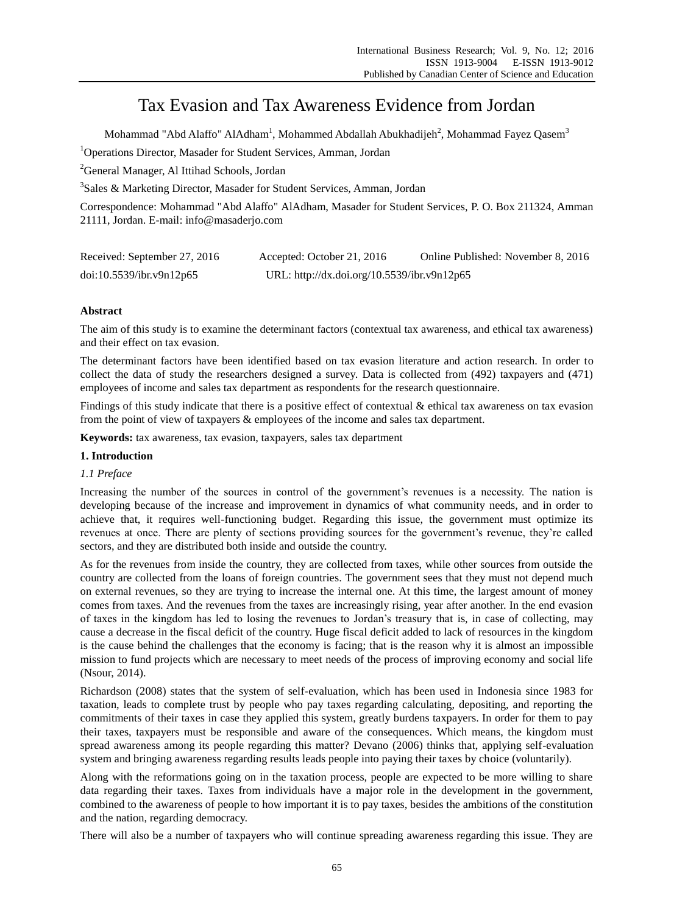# Tax Evasion and Tax Awareness Evidence from Jordan

Mohammad "Abd Alaffo" AlAdham $^{\rm l}$ , Mohammed Abdallah Abukhadijeh $^{\rm 2}$ , Mohammad Fayez Qasem $^{\rm 3}$ <sup>1</sup>Operations Director, Masader for Student Services, Amman, Jordan

<sup>2</sup>General Manager, Al Ittihad Schools, Jordan

<sup>3</sup>Sales & Marketing Director, Masader for Student Services, Amman, Jordan

Correspondence: Mohammad "Abd Alaffo" AlAdham, Masader for Student Services, P. O. Box 211324, Amman 21111, Jordan. E-mail: info@masaderjo.com

| Received: September 27, 2016 | Accepted: October 21, 2016                  | Online Published: November 8, 2016 |
|------------------------------|---------------------------------------------|------------------------------------|
| doi:10.5539/ibr.v9n12p65     | URL: http://dx.doi.org/10.5539/ibr.v9n12p65 |                                    |

# **Abstract**

The aim of this study is to examine the determinant factors (contextual tax awareness, and ethical tax awareness) and their effect on tax evasion.

The determinant factors have been identified based on tax evasion literature and action research. In order to collect the data of study the researchers designed a survey. Data is collected from (492) taxpayers and (471) employees of income and sales tax department as respondents for the research questionnaire.

Findings of this study indicate that there is a positive effect of contextual  $\&$  ethical tax awareness on tax evasion from the point of view of taxpayers & employees of the income and sales tax department.

**Keywords:** tax awareness, tax evasion, taxpayers, sales tax department

## **1. Introduction**

## *1.1 Preface*

Increasing the number of the sources in control of the government's revenues is a necessity. The nation is developing because of the increase and improvement in dynamics of what community needs, and in order to achieve that, it requires well-functioning budget. Regarding this issue, the government must optimize its revenues at once. There are plenty of sections providing sources for the government's revenue, they're called sectors, and they are distributed both inside and outside the country.

As for the revenues from inside the country, they are collected from taxes, while other sources from outside the country are collected from the loans of foreign countries. The government sees that they must not depend much on external revenues, so they are trying to increase the internal one. At this time, the largest amount of money comes from taxes. And the revenues from the taxes are increasingly rising, year after another. In the end evasion of taxes in the kingdom has led to losing the revenues to Jordan's treasury that is, in case of collecting, may cause a decrease in the fiscal deficit of the country. Huge fiscal deficit added to lack of resources in the kingdom is the cause behind the challenges that the economy is facing; that is the reason why it is almost an impossible mission to fund projects which are necessary to meet needs of the process of improving economy and social life (Nsour, 2014).

Richardson (2008) states that the system of self-evaluation, which has been used in Indonesia since 1983 for taxation, leads to complete trust by people who pay taxes regarding calculating, depositing, and reporting the commitments of their taxes in case they applied this system, greatly burdens taxpayers. In order for them to pay their taxes, taxpayers must be responsible and aware of the consequences. Which means, the kingdom must spread awareness among its people regarding this matter? Devano (2006) thinks that, applying self-evaluation system and bringing awareness regarding results leads people into paying their taxes by choice (voluntarily).

Along with the reformations going on in the taxation process, people are expected to be more willing to share data regarding their taxes. Taxes from individuals have a major role in the development in the government, combined to the awareness of people to how important it is to pay taxes, besides the ambitions of the constitution and the nation, regarding democracy.

There will also be a number of taxpayers who will continue spreading awareness regarding this issue. They are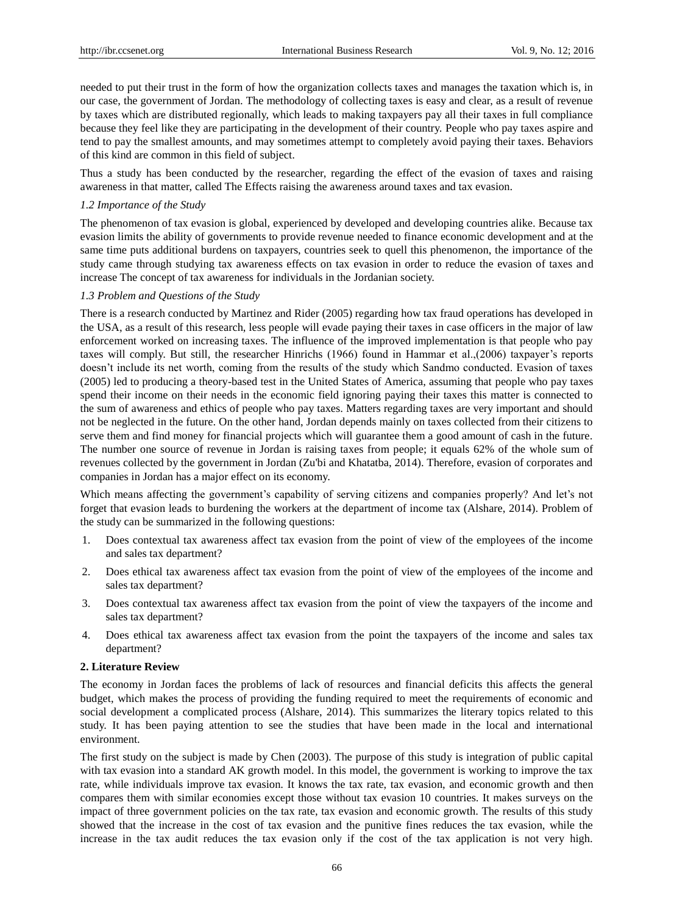needed to put their trust in the form of how the organization collects taxes and manages the taxation which is, in our case, the government of Jordan. The methodology of collecting taxes is easy and clear, as a result of revenue by taxes which are distributed regionally, which leads to making taxpayers pay all their taxes in full compliance because they feel like they are participating in the development of their country. People who pay taxes aspire and tend to pay the smallest amounts, and may sometimes attempt to completely avoid paying their taxes. Behaviors of this kind are common in this field of subject.

Thus a study has been conducted by the researcher, regarding the effect of the evasion of taxes and raising awareness in that matter, called The Effects raising the awareness around taxes and tax evasion.

## *1.2 Importance of the Study*

The phenomenon of tax evasion is global, experienced by developed and developing countries alike. Because tax evasion limits the ability of governments to provide revenue needed to finance economic development and at the same time puts additional burdens on taxpayers, countries seek to quell this phenomenon, the importance of the study came through studying tax awareness effects on tax evasion in order to reduce the evasion of taxes and increase The concept of tax awareness for individuals in the Jordanian society.

## *1.3 Problem and Questions of the Study*

There is a research conducted by Martinez and Rider (2005) regarding how tax fraud operations has developed in the USA, as a result of this research, less people will evade paying their taxes in case officers in the major of law enforcement worked on increasing taxes. The influence of the improved implementation is that people who pay taxes will comply. But still, the researcher Hinrichs (1966) found in Hammar et al.,(2006) taxpayer's reports doesn't include its net worth, coming from the results of the study which Sandmo conducted. Evasion of taxes (2005) led to producing a theory-based test in the United States of America, assuming that people who pay taxes spend their income on their needs in the economic field ignoring paying their taxes this matter is connected to the sum of awareness and ethics of people who pay taxes. Matters regarding taxes are very important and should not be neglected in the future. On the other hand, Jordan depends mainly on taxes collected from their citizens to serve them and find money for financial projects which will guarantee them a good amount of cash in the future. The number one source of revenue in Jordan is raising taxes from people; it equals 62% of the whole sum of revenues collected by the government in Jordan (Zu'bi and Khatatba, 2014). Therefore, evasion of corporates and companies in Jordan has a major effect on its economy.

Which means affecting the government's capability of serving citizens and companies properly? And let's not forget that evasion leads to burdening the workers at the department of income tax (Alshare, 2014). Problem of the study can be summarized in the following questions:

- 1. Does contextual tax awareness affect tax evasion from the point of view of the employees of the income and sales tax department?
- 2. Does ethical tax awareness affect tax evasion from the point of view of the employees of the income and sales tax department?
- 3. Does contextual tax awareness affect tax evasion from the point of view the taxpayers of the income and sales tax department?
- 4. Does ethical tax awareness affect tax evasion from the point the taxpayers of the income and sales tax department?

## **2. Literature Review**

The economy in Jordan faces the problems of lack of resources and financial deficits this affects the general budget, which makes the process of providing the funding required to meet the requirements of economic and social development a complicated process (Alshare, 2014). This summarizes the literary topics related to this study. It has been paying attention to see the studies that have been made in the local and international environment.

The first study on the subject is made by Chen (2003). The purpose of this study is integration of public capital with tax evasion into a standard AK growth model. In this model, the government is working to improve the tax rate, while individuals improve tax evasion. It knows the tax rate, tax evasion, and economic growth and then compares them with similar economies except those without tax evasion 10 countries. It makes surveys on the impact of three government policies on the tax rate, tax evasion and economic growth. The results of this study showed that the increase in the cost of tax evasion and the punitive fines reduces the tax evasion, while the increase in the tax audit reduces the tax evasion only if the cost of the tax application is not very high.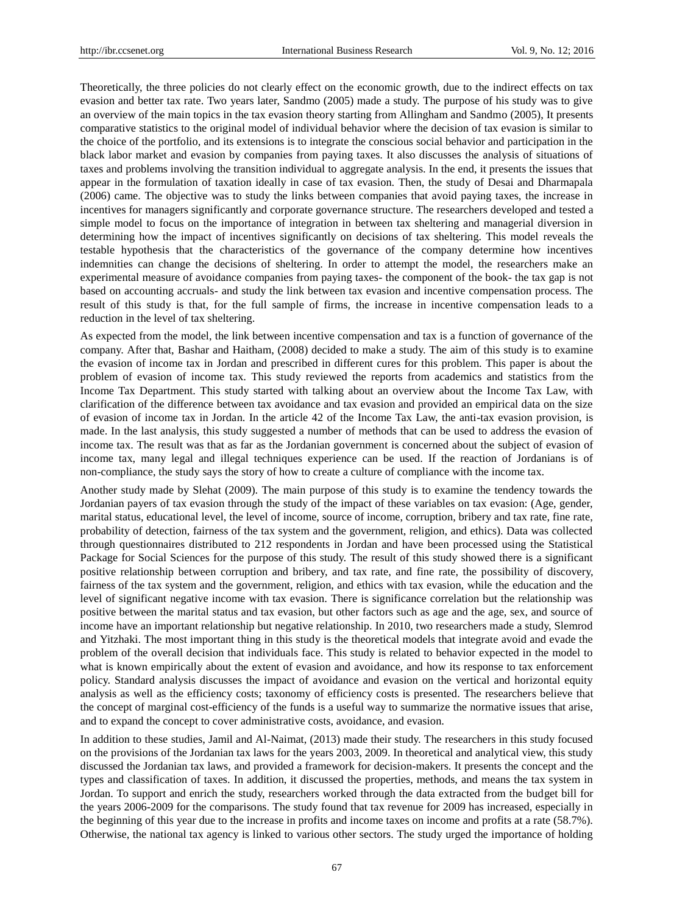Theoretically, the three policies do not clearly effect on the economic growth, due to the indirect effects on tax evasion and better tax rate. Two years later, Sandmo (2005) made a study. The purpose of his study was to give an overview of the main topics in the tax evasion theory starting from Allingham and Sandmo (2005), It presents comparative statistics to the original model of individual behavior where the decision of tax evasion is similar to the choice of the portfolio, and its extensions is to integrate the conscious social behavior and participation in the black labor market and evasion by companies from paying taxes. It also discusses the analysis of situations of taxes and problems involving the transition individual to aggregate analysis. In the end, it presents the issues that appear in the formulation of taxation ideally in case of tax evasion. Then, the study of Desai and Dharmapala (2006) came. The objective was to study the links between companies that avoid paying taxes, the increase in incentives for managers significantly and corporate governance structure. The researchers developed and tested a simple model to focus on the importance of integration in between tax sheltering and managerial diversion in determining how the impact of incentives significantly on decisions of tax sheltering. This model reveals the testable hypothesis that the characteristics of the governance of the company determine how incentives indemnities can change the decisions of sheltering. In order to attempt the model, the researchers make an experimental measure of avoidance companies from paying taxes- the component of the book- the tax gap is not based on accounting accruals- and study the link between tax evasion and incentive compensation process. The result of this study is that, for the full sample of firms, the increase in incentive compensation leads to a reduction in the level of tax sheltering.

As expected from the model, the link between incentive compensation and tax is a function of governance of the company. After that, Bashar and Haitham, (2008) decided to make a study. The aim of this study is to examine the evasion of income tax in Jordan and prescribed in different cures for this problem. This paper is about the problem of evasion of income tax. This study reviewed the reports from academics and statistics from the Income Tax Department. This study started with talking about an overview about the Income Tax Law, with clarification of the difference between tax avoidance and tax evasion and provided an empirical data on the size of evasion of income tax in Jordan. In the article 42 of the Income Tax Law, the anti-tax evasion provision, is made. In the last analysis, this study suggested a number of methods that can be used to address the evasion of income tax. The result was that as far as the Jordanian government is concerned about the subject of evasion of income tax, many legal and illegal techniques experience can be used. If the reaction of Jordanians is of non-compliance, the study says the story of how to create a culture of compliance with the income tax.

Another study made by Slehat (2009). The main purpose of this study is to examine the tendency towards the Jordanian payers of tax evasion through the study of the impact of these variables on tax evasion: (Age, gender, marital status, educational level, the level of income, source of income, corruption, bribery and tax rate, fine rate, probability of detection, fairness of the tax system and the government, religion, and ethics). Data was collected through questionnaires distributed to 212 respondents in Jordan and have been processed using the Statistical Package for Social Sciences for the purpose of this study. The result of this study showed there is a significant positive relationship between corruption and bribery, and tax rate, and fine rate, the possibility of discovery, fairness of the tax system and the government, religion, and ethics with tax evasion, while the education and the level of significant negative income with tax evasion. There is significance correlation but the relationship was positive between the marital status and tax evasion, but other factors such as age and the age, sex, and source of income have an important relationship but negative relationship. In 2010, two researchers made a study, Slemrod and Yitzhaki. The most important thing in this study is the theoretical models that integrate avoid and evade the problem of the overall decision that individuals face. This study is related to behavior expected in the model to what is known empirically about the extent of evasion and avoidance, and how its response to tax enforcement policy. Standard analysis discusses the impact of avoidance and evasion on the vertical and horizontal equity analysis as well as the efficiency costs; taxonomy of efficiency costs is presented. The researchers believe that the concept of marginal cost-efficiency of the funds is a useful way to summarize the normative issues that arise, and to expand the concept to cover administrative costs, avoidance, and evasion.

In addition to these studies, Jamil and Al-Naimat, (2013) made their study. The researchers in this study focused on the provisions of the Jordanian tax laws for the years 2003, 2009. In theoretical and analytical view, this study discussed the Jordanian tax laws, and provided a framework for decision-makers. It presents the concept and the types and classification of taxes. In addition, it discussed the properties, methods, and means the tax system in Jordan. To support and enrich the study, researchers worked through the data extracted from the budget bill for the years 2006-2009 for the comparisons. The study found that tax revenue for 2009 has increased, especially in the beginning of this year due to the increase in profits and income taxes on income and profits at a rate (58.7%). Otherwise, the national tax agency is linked to various other sectors. The study urged the importance of holding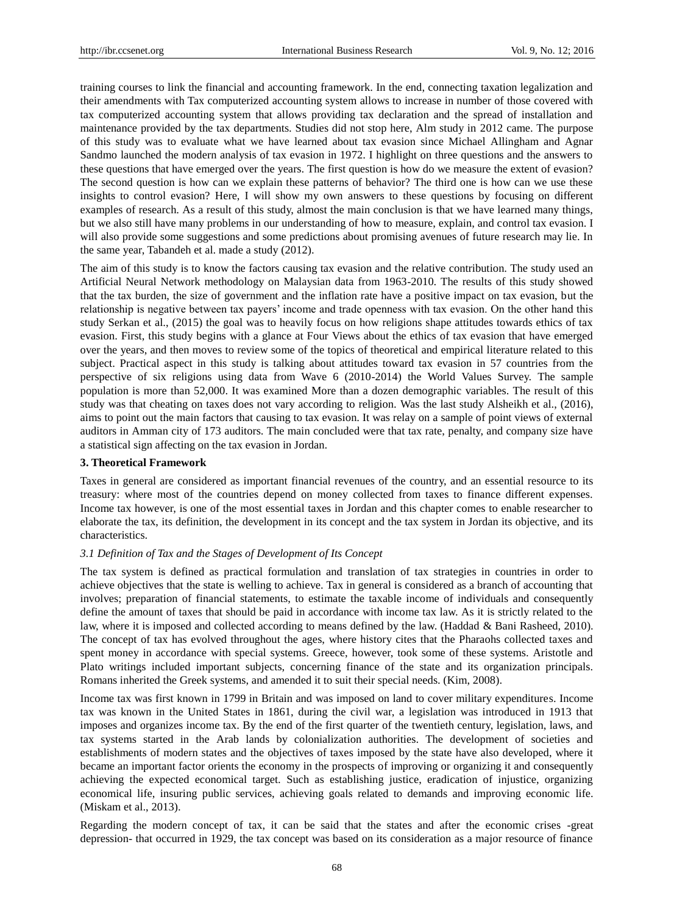training courses to link the financial and accounting framework. In the end, connecting taxation legalization and their amendments with Tax computerized accounting system allows to increase in number of those covered with tax computerized accounting system that allows providing tax declaration and the spread of installation and maintenance provided by the tax departments. Studies did not stop here, Alm study in 2012 came. The purpose of this study was to evaluate what we have learned about tax evasion since Michael Allingham and Agnar Sandmo launched the modern analysis of tax evasion in 1972. I highlight on three questions and the answers to these questions that have emerged over the years. The first question is how do we measure the extent of evasion? The second question is how can we explain these patterns of behavior? The third one is how can we use these insights to control evasion? Here, I will show my own answers to these questions by focusing on different examples of research. As a result of this study, almost the main conclusion is that we have learned many things, but we also still have many problems in our understanding of how to measure, explain, and control tax evasion. I will also provide some suggestions and some predictions about promising avenues of future research may lie. In the same year, Tabandeh et al. made a study (2012).

The aim of this study is to know the factors causing tax evasion and the relative contribution. The study used an Artificial Neural Network methodology on Malaysian data from 1963-2010. The results of this study showed that the tax burden, the size of government and the inflation rate have a positive impact on tax evasion, but the relationship is negative between tax payers' income and trade openness with tax evasion. On the other hand this study Serkan et al., (2015) the goal was to heavily focus on how religions shape attitudes towards ethics of tax evasion. First, this study begins with a glance at Four Views about the ethics of tax evasion that have emerged over the years, and then moves to review some of the topics of theoretical and empirical literature related to this subject. Practical aspect in this study is talking about attitudes toward tax evasion in 57 countries from the perspective of six religions using data from Wave 6 (2010-2014) the World Values Survey. The sample population is more than 52,000. It was examined More than a dozen demographic variables. The result of this study was that cheating on taxes does not vary according to religion. Was the last study Alsheikh et al., (2016), aims to point out the main factors that causing to tax evasion. It was relay on a sample of point views of external auditors in Amman city of 173 auditors. The main concluded were that tax rate, penalty, and company size have a statistical sign affecting on the tax evasion in Jordan.

## **3. Theoretical Framework**

Taxes in general are considered as important financial revenues of the country, and an essential resource to its treasury: where most of the countries depend on money collected from taxes to finance different expenses. Income tax however, is one of the most essential taxes in Jordan and this chapter comes to enable researcher to elaborate the tax, its definition, the development in its concept and the tax system in Jordan its objective, and its characteristics.

## *3.1 Definition of Tax and the Stages of Development of Its Concept*

The tax system is defined as practical formulation and translation of tax strategies in countries in order to achieve objectives that the state is welling to achieve. Tax in general is considered as a branch of accounting that involves; preparation of financial statements, to estimate the taxable income of individuals and consequently define the amount of taxes that should be paid in accordance with income tax law. As it is strictly related to the law, where it is imposed and collected according to means defined by the law. (Haddad & Bani Rasheed, 2010). The concept of tax has evolved throughout the ages, where history cites that the Pharaohs collected taxes and spent money in accordance with special systems. Greece, however, took some of these systems. Aristotle and Plato writings included important subjects, concerning finance of the state and its organization principals. Romans inherited the Greek systems, and amended it to suit their special needs. (Kim, 2008).

Income tax was first known in 1799 in Britain and was imposed on land to cover military expenditures. Income tax was known in the United States in 1861, during the civil war, a legislation was introduced in 1913 that imposes and organizes income tax. By the end of the first quarter of the twentieth century, legislation, laws, and tax systems started in the Arab lands by colonialization authorities. The development of societies and establishments of modern states and the objectives of taxes imposed by the state have also developed, where it became an important factor orients the economy in the prospects of improving or organizing it and consequently achieving the expected economical target. Such as establishing justice, eradication of injustice, organizing economical life, insuring public services, achieving goals related to demands and improving economic life. (Miskam et al., 2013).

Regarding the modern concept of tax, it can be said that the states and after the economic crises -great depression- that occurred in 1929, the tax concept was based on its consideration as a major resource of finance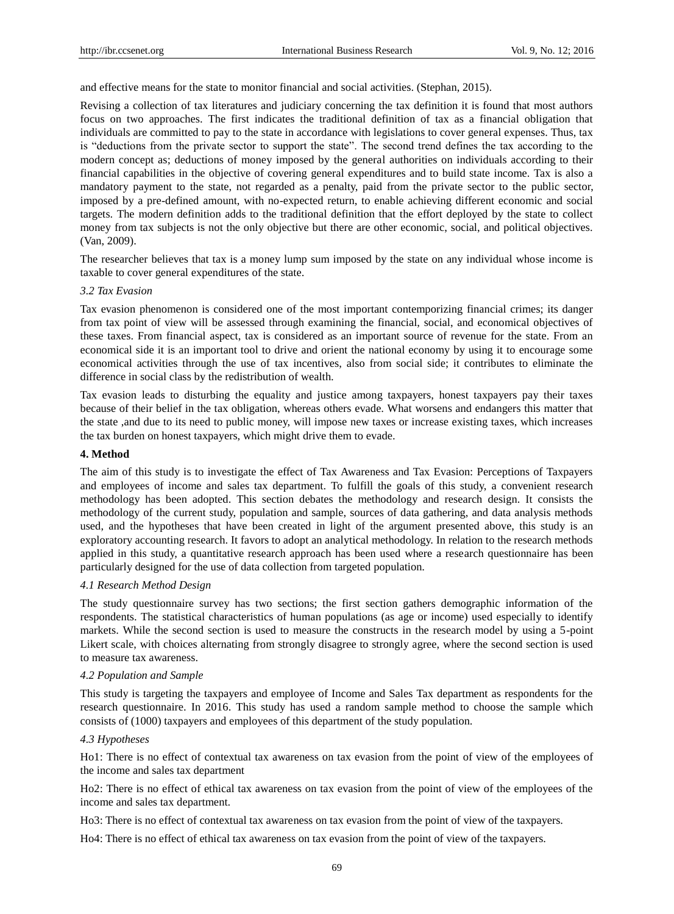and effective means for the state to monitor financial and social activities. (Stephan, 2015).

Revising a collection of tax literatures and judiciary concerning the tax definition it is found that most authors focus on two approaches. The first indicates the traditional definition of tax as a financial obligation that individuals are committed to pay to the state in accordance with legislations to cover general expenses. Thus, tax is "deductions from the private sector to support the state". The second trend defines the tax according to the modern concept as; deductions of money imposed by the general authorities on individuals according to their financial capabilities in the objective of covering general expenditures and to build state income. Tax is also a mandatory payment to the state, not regarded as a penalty, paid from the private sector to the public sector, imposed by a pre-defined amount, with no-expected return, to enable achieving different economic and social targets. The modern definition adds to the traditional definition that the effort deployed by the state to collect money from tax subjects is not the only objective but there are other economic, social, and political objectives. (Van, 2009).

The researcher believes that tax is a money lump sum imposed by the state on any individual whose income is taxable to cover general expenditures of the state.

#### *3.2 Tax Evasion*

Tax evasion phenomenon is considered one of the most important contemporizing financial crimes; its danger from tax point of view will be assessed through examining the financial, social, and economical objectives of these taxes. From financial aspect, tax is considered as an important source of revenue for the state. From an economical side it is an important tool to drive and orient the national economy by using it to encourage some economical activities through the use of tax incentives, also from social side; it contributes to eliminate the difference in social class by the redistribution of wealth.

Tax evasion leads to disturbing the equality and justice among taxpayers, honest taxpayers pay their taxes because of their belief in the tax obligation, whereas others evade. What worsens and endangers this matter that the state ,and due to its need to public money, will impose new taxes or increase existing taxes, which increases the tax burden on honest taxpayers, which might drive them to evade.

## **4. Method**

The aim of this study is to investigate the effect of Tax Awareness and Tax Evasion: Perceptions of Taxpayers and employees of income and sales tax department. To fulfill the goals of this study, a convenient research methodology has been adopted. This section debates the methodology and research design. It consists the methodology of the current study, population and sample, sources of data gathering, and data analysis methods used, and the hypotheses that have been created in light of the argument presented above, this study is an exploratory accounting research. It favors to adopt an analytical methodology. In relation to the research methods applied in this study, a quantitative research approach has been used where a research questionnaire has been particularly designed for the use of data collection from targeted population.

## *4.1 Research Method Design*

The study questionnaire survey has two sections; the first section gathers demographic information of the respondents. The statistical characteristics of human populations (as age or income) used especially to identify markets. While the second section is used to measure the constructs in the research model by using a 5-point Likert scale, with choices alternating from strongly disagree to strongly agree, where the second section is used to measure tax awareness.

#### *4.2 Population and Sample*

This study is targeting the taxpayers and employee of Income and Sales Tax department as respondents for the research questionnaire. In 2016. This study has used a random sample method to choose the sample which consists of (1000) taxpayers and employees of this department of the study population.

## *4.3 Hypotheses*

Ho1: There is no effect of contextual tax awareness on tax evasion from the point of view of the employees of the income and sales tax department

Ho2: There is no effect of ethical tax awareness on tax evasion from the point of view of the employees of the income and sales tax department.

Ho3: There is no effect of contextual tax awareness on tax evasion from the point of view of the taxpayers.

Ho4: There is no effect of ethical tax awareness on tax evasion from the point of view of the taxpayers.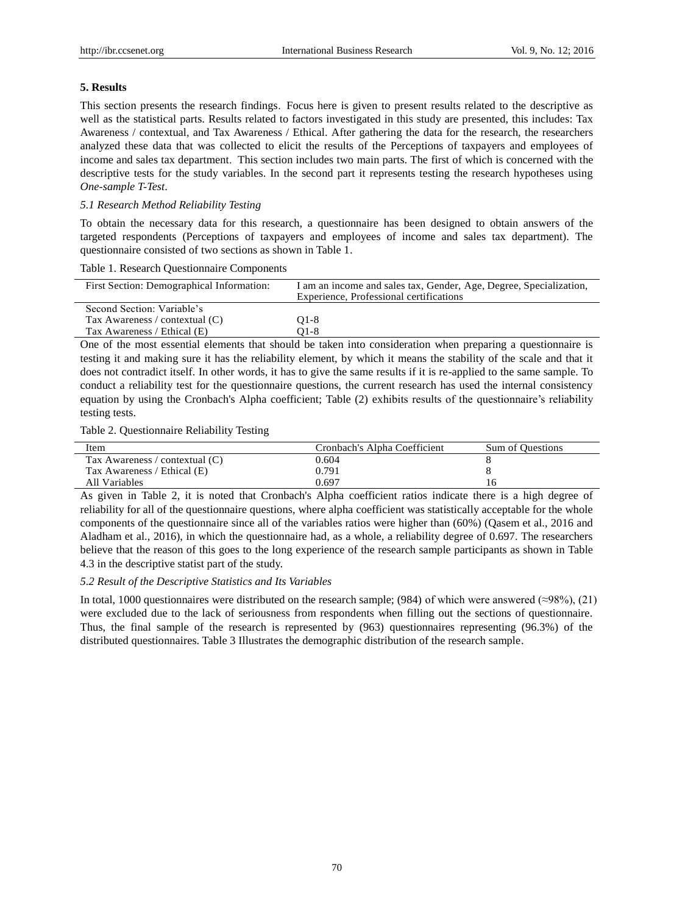## **5. Results**

This section presents the research findings. Focus here is given to present results related to the descriptive as well as the statistical parts. Results related to factors investigated in this study are presented, this includes: Tax Awareness / contextual, and Tax Awareness / Ethical. After gathering the data for the research, the researchers analyzed these data that was collected to elicit the results of the Perceptions of taxpayers and employees of income and sales tax department. This section includes two main parts. The first of which is concerned with the descriptive tests for the study variables. In the second part it represents testing the research hypotheses using *One-sample T-Test*.

## *5.1 Research Method Reliability Testing*

To obtain the necessary data for this research, a questionnaire has been designed to obtain answers of the targeted respondents (Perceptions of taxpayers and employees of income and sales tax department). The questionnaire consisted of two sections as shown in Table 1.

## Table 1. Research Questionnaire Components

| First Section: Demographical Information: | I am an income and sales tax, Gender, Age, Degree, Specialization,<br>Experience, Professional certifications |
|-------------------------------------------|---------------------------------------------------------------------------------------------------------------|
| Second Section: Variable's                |                                                                                                               |
| Tax Awareness / contextual (C)            | $O1-8$                                                                                                        |
| Tax Awareness / Ethical (E)               | O1-8                                                                                                          |

One of the most essential elements that should be taken into consideration when preparing a questionnaire is testing it and making sure it has the reliability element, by which it means the stability of the scale and that it does not contradict itself. In other words, it has to give the same results if it is re-applied to the same sample. To conduct a reliability test for the questionnaire questions, the current research has used the internal consistency equation by using the Cronbach's Alpha coefficient; Table (2) exhibits results of the questionnaire's reliability testing tests.

Table 2. Questionnaire Reliability Testing

| Item                           | Cronbach's Alpha Coefficient | Sum of Questions |
|--------------------------------|------------------------------|------------------|
| Tax Awareness / contextual (C) | 0.604                        |                  |
| Tax Awareness / Ethical (E)    | 0.791                        |                  |
| All Variables                  | 0.697                        | I ()             |

As given in Table 2, it is noted that Cronbach's Alpha coefficient ratios indicate there is a high degree of reliability for all of the questionnaire questions, where alpha coefficient was statistically acceptable for the whole components of the questionnaire since all of the variables ratios were higher than (60%) (Qasem et al., 2016 and Aladham et al., 2016), in which the questionnaire had, as a whole, a reliability degree of 0.697. The researchers believe that the reason of this goes to the long experience of the research sample participants as shown in Table 4.3 in the descriptive statist part of the study.

## *5.2 Result of the Descriptive Statistics and Its Variables*

In total, 1000 questionnaires were distributed on the research sample; (984) of which were answered (≈98%), (21) were excluded due to the lack of seriousness from respondents when filling out the sections of questionnaire. Thus, the final sample of the research is represented by (963) questionnaires representing (96.3%) of the distributed questionnaires. Table 3 Illustrates the demographic distribution of the research sample.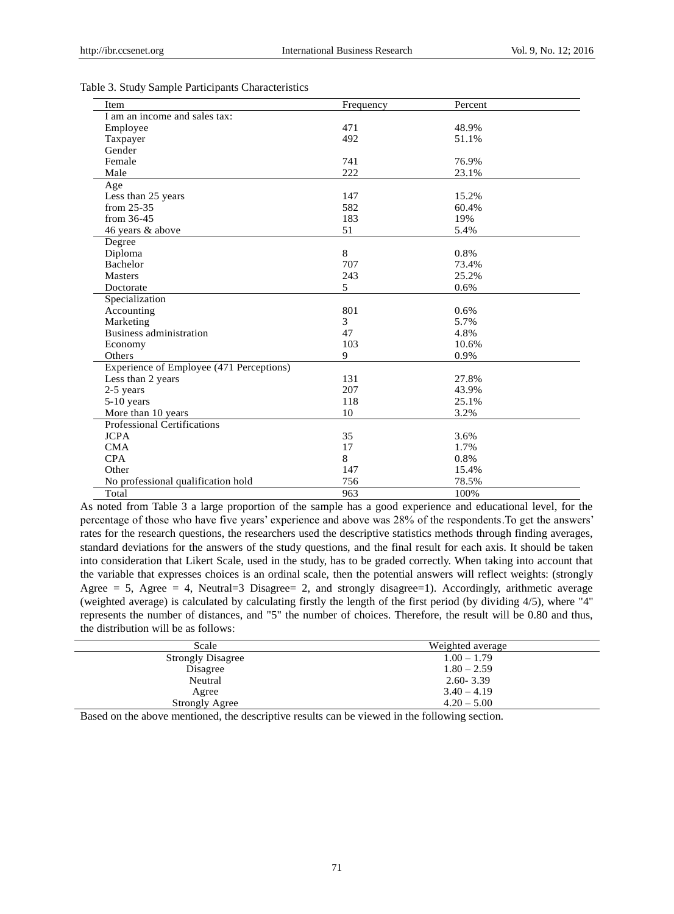| Item                                     | Frequency | Percent |
|------------------------------------------|-----------|---------|
| I am an income and sales tax:            |           |         |
| Employee                                 | 471       | 48.9%   |
| Taxpayer                                 | 492       | 51.1%   |
| Gender                                   |           |         |
| Female                                   | 741       | 76.9%   |
| Male                                     | 222       | 23.1%   |
| Age                                      |           |         |
| Less than 25 years                       | 147       | 15.2%   |
| from 25-35                               | 582       | 60.4%   |
| from 36-45                               | 183       | 19%     |
| 46 years & above                         | 51        | 5.4%    |
| Degree                                   |           |         |
| Diploma                                  | 8         | 0.8%    |
| <b>Bachelor</b>                          | 707       | 73.4%   |
| <b>Masters</b>                           | 243       | 25.2%   |
| Doctorate                                | 5         | 0.6%    |
| Specialization                           |           |         |
| Accounting                               | 801       | 0.6%    |
| Marketing                                | 3         | 5.7%    |
| Business administration                  | 47        | 4.8%    |
| Economy                                  | 103       | 10.6%   |
| Others                                   | 9         | 0.9%    |
| Experience of Employee (471 Perceptions) |           |         |
| Less than 2 years                        | 131       | 27.8%   |
| 2-5 years                                | 207       | 43.9%   |
| $5-10$ years                             | 118       | 25.1%   |
| More than 10 years                       | 10        | 3.2%    |
| <b>Professional Certifications</b>       |           |         |
| <b>JCPA</b>                              | 35        | 3.6%    |
| <b>CMA</b>                               | 17        | 1.7%    |
| <b>CPA</b>                               | 8         | 0.8%    |
| Other                                    | 147       | 15.4%   |
| No professional qualification hold       | 756       | 78.5%   |
| Total                                    | 963       | 100%    |

Table 3. Study Sample Participants Characteristics

As noted from Table 3 a large proportion of the sample has a good experience and educational level, for the percentage of those who have five years' experience and above was 28% of the respondents.To get the answers' rates for the research questions, the researchers used the descriptive statistics methods through finding averages, standard deviations for the answers of the study questions, and the final result for each axis. It should be taken into consideration that Likert Scale, used in the study, has to be graded correctly. When taking into account that the variable that expresses choices is an ordinal scale, then the potential answers will reflect weights: (strongly Agree  $= 5$ , Agree  $= 4$ , Neutral  $= 3$  Disagree  $= 2$ , and strongly disagree  $= 1$ ). Accordingly, arithmetic average (weighted average) is calculated by calculating firstly the length of the first period (by dividing 4/5), where "4" represents the number of distances, and "5" the number of choices. Therefore, the result will be 0.80 and thus, the distribution will be as follows:

| Scale                    | Weighted average |
|--------------------------|------------------|
| <b>Strongly Disagree</b> | $1.00 - 1.79$    |
| Disagree                 | $1.80 - 2.59$    |
| Neutral                  | $2.60 - 3.39$    |
| Agree                    | $3.40 - 4.19$    |
| <b>Strongly Agree</b>    | $4.20 - 5.00$    |

Based on the above mentioned, the descriptive results can be viewed in the following section.

71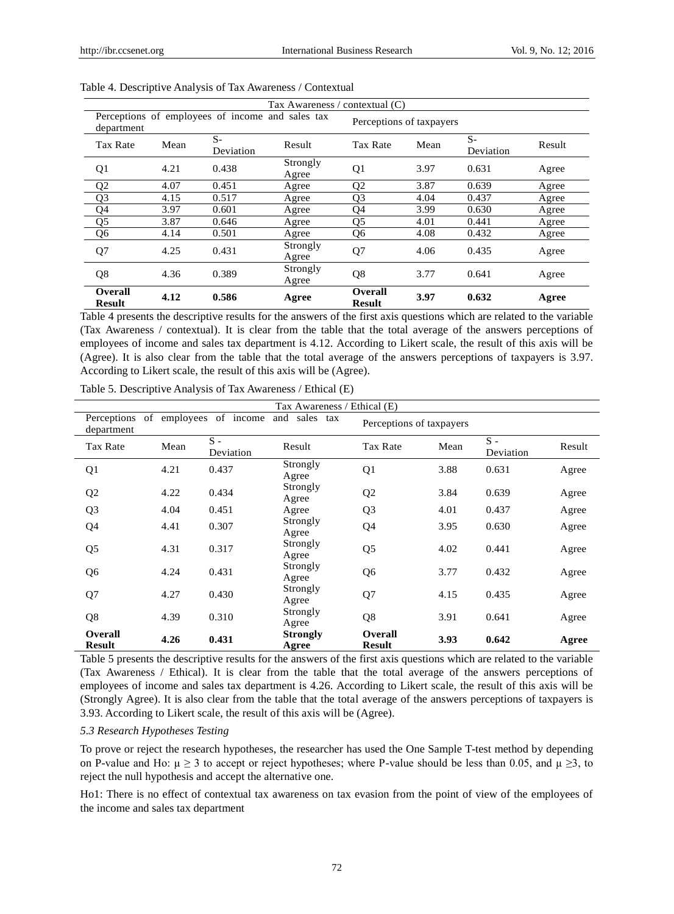|                          |      |                                                  | Tax Awareness / contextual (C) |                          |      |                   |        |
|--------------------------|------|--------------------------------------------------|--------------------------------|--------------------------|------|-------------------|--------|
| department               |      | Perceptions of employees of income and sales tax |                                | Perceptions of taxpayers |      |                   |        |
| Tax Rate                 | Mean | $S-$<br>Deviation                                | Result                         | Tax Rate                 | Mean | $S-$<br>Deviation | Result |
| Q1                       | 4.21 | 0.438                                            | Strongly<br>Agree              | Q <sub>1</sub>           | 3.97 | 0.631             | Agree  |
| Q <sub>2</sub>           | 4.07 | 0.451                                            | Agree                          | Q <sub>2</sub>           | 3.87 | 0.639             | Agree  |
| O <sub>3</sub>           | 4.15 | 0.517                                            | Agree                          | O <sub>3</sub>           | 4.04 | 0.437             | Agree  |
| Q <sub>4</sub>           | 3.97 | 0.601                                            | Agree                          | Q4                       | 3.99 | 0.630             | Agree  |
| Q <sub>5</sub>           | 3.87 | 0.646                                            | Agree                          | Q5                       | 4.01 | 0.441             | Agree  |
| Q <sub>6</sub>           | 4.14 | 0.501                                            | Agree                          | Q <sub>6</sub>           | 4.08 | 0.432             | Agree  |
| Q <sub>7</sub>           | 4.25 | 0.431                                            | Strongly<br>Agree              | Q <sub>7</sub>           | 4.06 | 0.435             | Agree  |
| Q8                       | 4.36 | 0.389                                            | Strongly<br>Agree              | Q <sub>8</sub>           | 3.77 | 0.641             | Agree  |
| Overall<br><b>Result</b> | 4.12 | 0.586                                            | Agree                          | Overall<br><b>Result</b> | 3.97 | 0.632             | Agree  |

|  |  | Table 4. Descriptive Analysis of Tax Awareness / Contextual |  |
|--|--|-------------------------------------------------------------|--|
|--|--|-------------------------------------------------------------|--|

Table 4 presents the descriptive results for the answers of the first axis questions which are related to the variable (Tax Awareness / contextual). It is clear from the table that the total average of the answers perceptions of employees of income and sales tax department is 4.12. According to Likert scale, the result of this axis will be (Agree). It is also clear from the table that the total average of the answers perceptions of taxpayers is 3.97. According to Likert scale, the result of this axis will be (Agree).

|                                        |                       |                                    | Tax Awareness / Ethical (E)        |                                 |                  |                                                |                                  |
|----------------------------------------|-----------------------|------------------------------------|------------------------------------|---------------------------------|------------------|------------------------------------------------|----------------------------------|
| department                             |                       | Perceptions of employees of income | and sales tax                      | Perceptions of taxpayers        |                  |                                                |                                  |
| Tax Rate                               | Mean                  | $S -$<br>Deviation                 | Result                             | Tax Rate                        | Mean             | $S -$<br>Deviation                             | Result                           |
| Q <sub>1</sub>                         | 4.21                  | 0.437                              | Strongly<br>Agree                  | Q1                              | 3.88             | 0.631                                          | Agree                            |
| Q <sub>2</sub>                         | 4.22                  | 0.434                              | Strongly<br>Agree                  | Q <sub>2</sub>                  | 3.84             | 0.639                                          | Agree                            |
| Q <sub>3</sub>                         | 4.04                  | 0.451                              | Agree                              | Q <sub>3</sub>                  | 4.01             | 0.437                                          | Agree                            |
| Q <sub>4</sub>                         | 4.41                  | 0.307                              | Strongly<br>Agree                  | Q4                              | 3.95             | 0.630                                          | Agree                            |
| Q <sub>5</sub>                         | 4.31                  | 0.317                              | Strongly<br>Agree                  | Q <sub>5</sub>                  | 4.02             | 0.441                                          | Agree                            |
| Q <sub>6</sub>                         | 4.24                  | 0.431                              | Strongly<br>Agree                  | Q <sub>6</sub>                  | 3.77             | 0.432                                          | Agree                            |
| Q7                                     | 4.27                  | 0.430                              | Strongly<br>Agree                  | Q7                              | 4.15             | 0.435                                          | Agree                            |
| Q8                                     | 4.39                  | 0.310                              | Strongly<br>Agree                  | Q8                              | 3.91             | 0.641                                          | Agree                            |
| <b>Overall</b><br><b>Result</b><br>--- | 4.26<br>$\sim$ $\sim$ | 0.431                              | <b>Strongly</b><br>Agree<br>$\sim$ | <b>Overall</b><br><b>Result</b> | 3.93<br>$\cdots$ | 0.642<br>$\sim$ $\sim$ $\sim$ $\sim$<br>$\sim$ | Agree<br>$\cdot$ $\cdot$ $\cdot$ |

Table 5. Descriptive Analysis of Tax Awareness / Ethical (E)

Table 5 presents the descriptive results for the answers of the first axis questions which are related to the variable (Tax Awareness / Ethical). It is clear from the table that the total average of the answers perceptions of employees of income and sales tax department is 4.26. According to Likert scale, the result of this axis will be (Strongly Agree). It is also clear from the table that the total average of the answers perceptions of taxpayers is 3.93. According to Likert scale, the result of this axis will be (Agree).

## *5.3 Research Hypotheses Testing*

To prove or reject the research hypotheses, the researcher has used the One Sample T-test method by depending on P-value and Ho:  $\mu \ge 3$  to accept or reject hypotheses; where P-value should be less than 0.05, and  $\mu \ge 3$ , to reject the null hypothesis and accept the alternative one.

Ho1: There is no effect of contextual tax awareness on tax evasion from the point of view of the employees of the income and sales tax department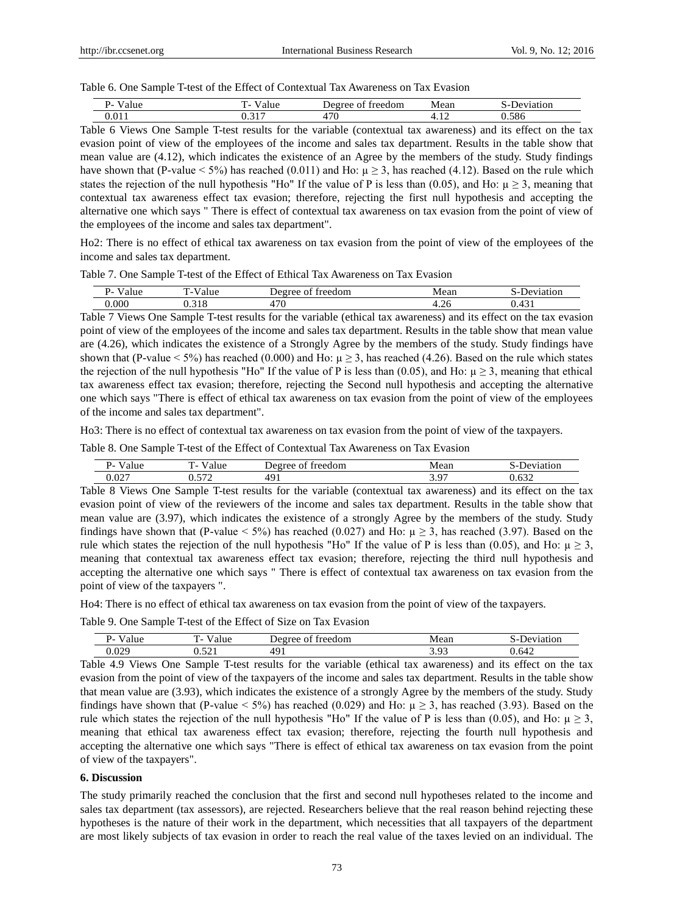#### Table 6. One Sample T-test of the Effect of Contextual Tax Awareness on Tax Evasion

| $\cdot$<br>۔ ۔<br>. . | - | $\sim$ and<br>ωT | ear      | on           |
|-----------------------|---|------------------|----------|--------------|
|                       | . | --<br>╰          | . .<br>. | $\sim$<br>סי |

Table 6 Views One Sample T-test results for the variable (contextual tax awareness) and its effect on the tax evasion point of view of the employees of the income and sales tax department. Results in the table show that mean value are (4.12), which indicates the existence of an Agree by the members of the study. Study findings have shown that (P-value  $\leq 5\%$ ) has reached (0.011) and Ho:  $\mu > 3$ , has reached (4.12). Based on the rule which states the rejection of the null hypothesis "Ho" If the value of P is less than (0.05), and Ho:  $\mu \ge 3$ , meaning that contextual tax awareness effect tax evasion; therefore, rejecting the first null hypothesis and accepting the alternative one which says " There is effect of contextual tax awareness on tax evasion from the point of view of the employees of the income and sales tax department".

Ho2: There is no effect of ethical tax awareness on tax evasion from the point of view of the employees of the income and sales tax department.

Table 7. One Sample T-test of the Effect of Ethical Tax Awareness on Tax Evasion

| . .<br>- - | m<br>$\overline{\phantom{0}}$ | treedom<br>۵۵<br>ገ1                  | $\alpha$<br>Cal. | ıμ |
|------------|-------------------------------|--------------------------------------|------------------|----|
| 000        | 1 L G<br>ບ.∟                  | $\overline{\phantom{0}}$<br>ν<br>. . | +.∠∪             | ு  |

Table 7 Views One Sample T-test results for the variable (ethical tax awareness) and its effect on the tax evasion point of view of the employees of the income and sales tax department. Results in the table show that mean value are (4.26), which indicates the existence of a Strongly Agree by the members of the study. Study findings have shown that (P-value < 5%) has reached (0.000) and Ho:  $\mu \ge 3$ , has reached (4.26). Based on the rule which states the rejection of the null hypothesis "Ho" If the value of P is less than (0.05), and Ho:  $\mu \ge 3$ , meaning that ethical tax awareness effect tax evasion; therefore, rejecting the Second null hypothesis and accepting the alternative one which says "There is effect of ethical tax awareness on tax evasion from the point of view of the employees of the income and sales tax department".

Ho3: There is no effect of contextual tax awareness on tax evasion from the point of view of the taxpayers.

Table 8. One Sample T-test of the Effect of Contextual Tax Awareness on Tax Evasion

| . .<br>.<br>.    | . .<br>$\mathbf \tau$<br>- | $\sim$ $\sim$ $\sim$<br>raa<br>$\Omega$ | - - -<br>vieal. |      |
|------------------|----------------------------|-----------------------------------------|-----------------|------|
| $\Omega$<br>∪.∪∠ | .                          | <u>, 1</u>                              | <u>.</u>        | -- - |

Table 8 Views One Sample T-test results for the variable (contextual tax awareness) and its effect on the tax evasion point of view of the reviewers of the income and sales tax department. Results in the table show that mean value are (3.97), which indicates the existence of a strongly Agree by the members of the study. Study findings have shown that (P-value < 5%) has reached (0.027) and Ho:  $\mu \ge 3$ , has reached (3.97). Based on the rule which states the rejection of the null hypothesis "Ho" If the value of P is less than (0.05), and Ho:  $\mu \ge 3$ , meaning that contextual tax awareness effect tax evasion; therefore, rejecting the third null hypothesis and accepting the alternative one which says " There is effect of contextual tax awareness on tax evasion from the point of view of the taxpayers ".

Ho4: There is no effect of ethical tax awareness on tax evasion from the point of view of the taxpayers.

Table 9. One Sample T-test of the Effect of Size on Tax Evasion

| .<br>.<br>ıu | m            | freedom<br>$\sim$ | lean<br>M | $\sim$<br>UΙ<br>∼ |
|--------------|--------------|-------------------|-----------|-------------------|
| 020<br>∪.∪∠  | $-1$<br>◡.◡∠ | ו ש<br>.          | <u>.</u>  | 0.642             |

Table 4.9 Views One Sample T-test results for the variable (ethical tax awareness) and its effect on the tax evasion from the point of view of the taxpayers of the income and sales tax department. Results in the table show that mean value are (3.93), which indicates the existence of a strongly Agree by the members of the study. Study findings have shown that (P-value < 5%) has reached (0.029) and Ho:  $\mu \ge 3$ , has reached (3.93). Based on the rule which states the rejection of the null hypothesis "Ho" If the value of P is less than (0.05), and Ho:  $\mu \ge 3$ , meaning that ethical tax awareness effect tax evasion; therefore, rejecting the fourth null hypothesis and accepting the alternative one which says "There is effect of ethical tax awareness on tax evasion from the point of view of the taxpayers".

## **6. Discussion**

The study primarily reached the conclusion that the first and second null hypotheses related to the income and sales tax department (tax assessors), are rejected. Researchers believe that the real reason behind rejecting these hypotheses is the nature of their work in the department, which necessities that all taxpayers of the department are most likely subjects of tax evasion in order to reach the real value of the taxes levied on an individual. The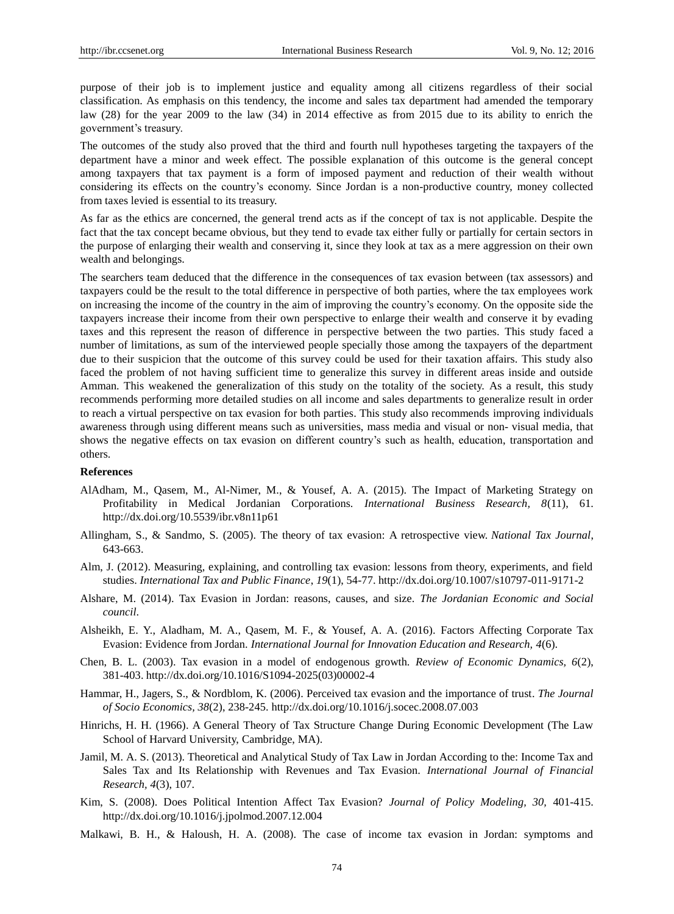purpose of their job is to implement justice and equality among all citizens regardless of their social classification. As emphasis on this tendency, the income and sales tax department had amended the temporary law (28) for the year 2009 to the law (34) in 2014 effective as from 2015 due to its ability to enrich the government's treasury.

The outcomes of the study also proved that the third and fourth null hypotheses targeting the taxpayers of the department have a minor and week effect. The possible explanation of this outcome is the general concept among taxpayers that tax payment is a form of imposed payment and reduction of their wealth without considering its effects on the country's economy. Since Jordan is a non-productive country, money collected from taxes levied is essential to its treasury.

As far as the ethics are concerned, the general trend acts as if the concept of tax is not applicable. Despite the fact that the tax concept became obvious, but they tend to evade tax either fully or partially for certain sectors in the purpose of enlarging their wealth and conserving it, since they look at tax as a mere aggression on their own wealth and belongings.

The searchers team deduced that the difference in the consequences of tax evasion between (tax assessors) and taxpayers could be the result to the total difference in perspective of both parties, where the tax employees work on increasing the income of the country in the aim of improving the country's economy. On the opposite side the taxpayers increase their income from their own perspective to enlarge their wealth and conserve it by evading taxes and this represent the reason of difference in perspective between the two parties. This study faced a number of limitations, as sum of the interviewed people specially those among the taxpayers of the department due to their suspicion that the outcome of this survey could be used for their taxation affairs. This study also faced the problem of not having sufficient time to generalize this survey in different areas inside and outside Amman. This weakened the generalization of this study on the totality of the society. As a result, this study recommends performing more detailed studies on all income and sales departments to generalize result in order to reach a virtual perspective on tax evasion for both parties. This study also recommends improving individuals awareness through using different means such as universities, mass media and visual or non- visual media, that shows the negative effects on tax evasion on different country's such as health, education, transportation and others.

## **References**

- AlAdham, M., Qasem, M., Al-Nimer, M., & Yousef, A. A. (2015). The Impact of Marketing Strategy on Profitability in Medical Jordanian Corporations. *International Business Research, 8*(11), 61. http://dx.doi.org/10.5539/ibr.v8n11p61
- Allingham, S., & Sandmo, S. (2005). The theory of tax evasion: A retrospective view. *National Tax Journal*, 643-663.
- Alm, J. (2012). Measuring, explaining, and controlling tax evasion: lessons from theory, experiments, and field studies. *International Tax and Public Finance*, *19*(1), 54-77[.](http://dx.doi.org/10.1007/s10797-011-9171-2) <http://dx.doi.org/10.1007/s10797-011-9171-2>
- Alshare, M. (2014). Tax Evasion in Jordan: reasons, causes, and size. *The Jordanian Economic and Social council*.
- Alsheikh, E. Y., Aladham, M. A., Qasem, M. F., & Yousef, A. A. (2016). Factors Affecting Corporate Tax Evasion: Evidence from Jordan. *International Journal for Innovation Education and Research, 4*(6).
- Chen, B. L. (2003). Tax evasion in a model of endogenous growth. *Review of Economic Dynamics, 6*(2), 381-40[3.](http://dx.doi.org/10.1016/S1094-2025%2803%2900002-4) [http://dx.doi.org/10.1016/S1094-2025\(03\)00002-4](http://dx.doi.org/10.1016/S1094-2025%2803%2900002-4)
- Hammar, H., Jagers, S., & Nordblom, K. (2006). Perceived tax evasion and the importance of trust. *The Journal of Socio Economics, 38*(2), 238-245.<http://dx.doi.org/10.1016/j.socec.2008.07.003>
- Hinrichs, H. H. (1966). A General Theory of Tax Structure Change During Economic Development (The Law School of Harvard University, Cambridge, MA).
- Jamil, M. A. S. (2013). Theoretical and Analytical Study of Tax Law in Jordan According to the: Income Tax and Sales Tax and Its Relationship with Revenues and Tax Evasion. *International Journal of Financial Research, 4*(3), 107.
- Kim, S. (2008). Does Political Intention Affect Tax Evasion? *Journal of Policy Modeling, 30,* 401-415. <http://dx.doi.org/10.1016/j.jpolmod.2007.12.004>
- Malkawi, B. H., & Haloush, H. A. (2008). The case of income tax evasion in Jordan: symptoms and